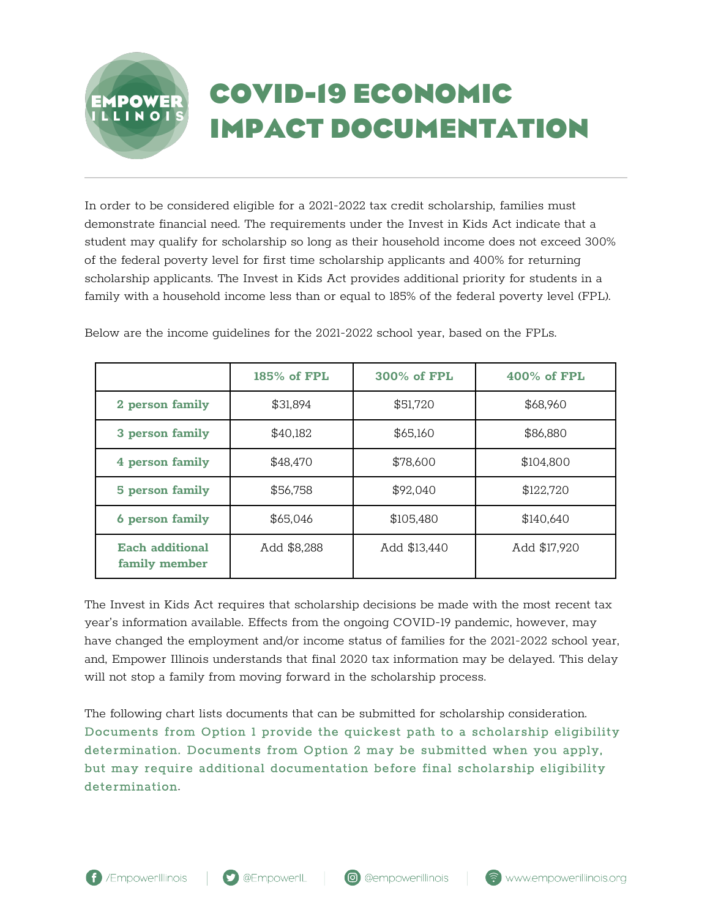## **COVID-19 ECONOMIC IMPACT DOCUMENTATION**

In order to be considered eligible for a 2021-2022 tax credit scholarship, families must demonstrate financial need. The requirements under the Invest in Kids Act indicate that a student may qualify for scholarship so long as their household income does not exceed 300% of the federal poverty level for first time scholarship applicants and 400% for returning scholarship applicants. The Invest in Kids Act provides additional priority for students in a family with a household income less than or equal to 185% of the federal poverty level (FPL).

|                                         | 185% of FPL | 300% of FPL  | $400\%$ of FPL |
|-----------------------------------------|-------------|--------------|----------------|
| 2 person family                         | \$31,894    | \$51,720     | \$68,960       |
| 3 person family                         | \$40,182    | \$65,160     | \$86,880       |
| 4 person family                         | \$48,470    | \$78,600     | \$104,800      |
| 5 person family                         | \$56,758    | \$92,040     | \$122,720      |
| 6 person family                         | \$65,046    | \$105,480    | \$140,640      |
| <b>Each additional</b><br>family member | Add \$8,288 | Add \$13,440 | Add \$17,920   |

Below are the income guidelines for the 2021-2022 school year, based on the FPLs.

The Invest in Kids Act requires that scholarship decisions be made with the most recent tax year's information available. Effects from the ongoing COVID-19 pandemic, however, may have changed the employment and/or income status of families for the 2021-2022 school year, and, Empower Illinois understands that final 2020 tax information may be delayed. This delay will not stop a family from moving forward in the scholarship process.

The following chart lists documents that can be submitted for scholarship consideration. Documents from Option 1 provide the quickest path to a scholarship eligibility determination. Documents from Option 2 may be submitted when you apply, but may require additional documentation before final scholarship eligibility determination.

EMPOWE